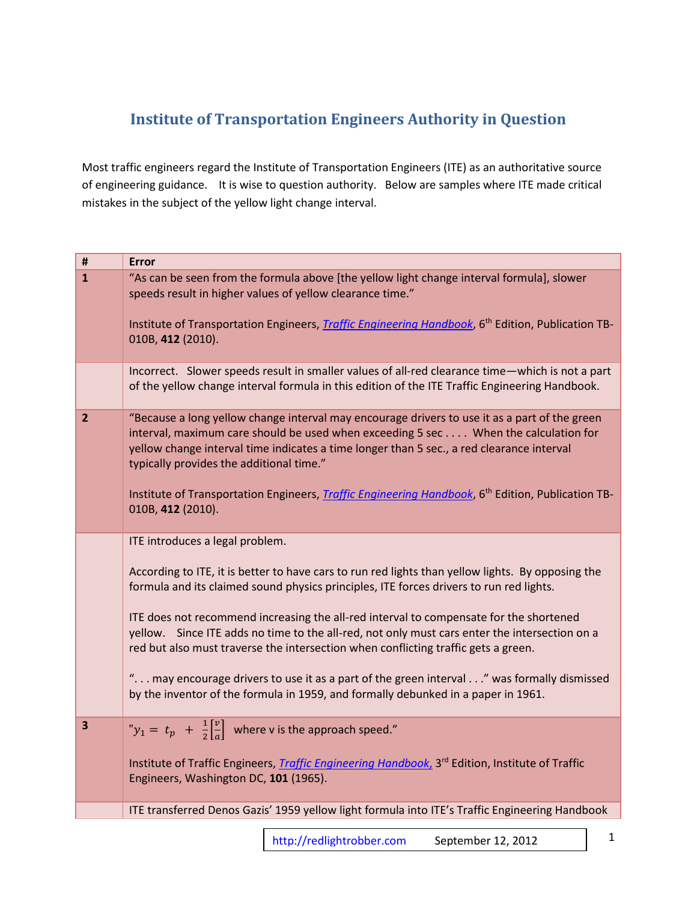## **Institute of Transportation Engineers Authority in Question**

Most traffic engineers regard the Institute of Transportation Engineers (ITE) as an authoritative source of engineering guidance. It is wise to question authority. Below are samples where ITE made critical mistakes in the subject of the yellow light change interval.

| $\pmb{\sharp}$<br><b>Error</b> |                                                                                                                                                                                                                                                                                                                                                                                                                                                                             |
|--------------------------------|-----------------------------------------------------------------------------------------------------------------------------------------------------------------------------------------------------------------------------------------------------------------------------------------------------------------------------------------------------------------------------------------------------------------------------------------------------------------------------|
| $\mathbf{1}$                   | "As can be seen from the formula above [the yellow light change interval formula], slower<br>speeds result in higher values of yellow clearance time."                                                                                                                                                                                                                                                                                                                      |
|                                | Institute of Transportation Engineers, <i>Traffic Engineering Handbook</i> , 6 <sup>th</sup> Edition, Publication TB-<br>010B, 412 (2010).                                                                                                                                                                                                                                                                                                                                  |
|                                | Incorrect. Slower speeds result in smaller values of all-red clearance time—which is not a part<br>of the yellow change interval formula in this edition of the ITE Traffic Engineering Handbook.                                                                                                                                                                                                                                                                           |
| $\overline{2}$                 | "Because a long yellow change interval may encourage drivers to use it as a part of the green<br>interval, maximum care should be used when exceeding 5 sec When the calculation for<br>yellow change interval time indicates a time longer than 5 sec., a red clearance interval<br>typically provides the additional time."<br>Institute of Transportation Engineers, <i>Traffic Engineering Handbook</i> , 6 <sup>th</sup> Edition, Publication TB-<br>010B, 412 (2010). |
|                                | ITE introduces a legal problem.                                                                                                                                                                                                                                                                                                                                                                                                                                             |
|                                | According to ITE, it is better to have cars to run red lights than yellow lights. By opposing the<br>formula and its claimed sound physics principles, ITE forces drivers to run red lights.                                                                                                                                                                                                                                                                                |
|                                | ITE does not recommend increasing the all-red interval to compensate for the shortened<br>yellow. Since ITE adds no time to the all-red, not only must cars enter the intersection on a<br>red but also must traverse the intersection when conflicting traffic gets a green.                                                                                                                                                                                               |
|                                | " may encourage drivers to use it as a part of the green interval" was formally dismissed<br>by the inventor of the formula in 1959, and formally debunked in a paper in 1961.                                                                                                                                                                                                                                                                                              |
| $\overline{\mathbf{3}}$        | " $y_1 = t_p + \frac{1}{2} \left[ \frac{v}{a} \right]$ where v is the approach speed."                                                                                                                                                                                                                                                                                                                                                                                      |
|                                | Institute of Traffic Engineers, <i>Traffic Engineering Handbook</i> , 3 <sup>rd</sup> Edition, Institute of Traffic<br>Engineers, Washington DC, 101 (1965).                                                                                                                                                                                                                                                                                                                |
|                                | ITE transferred Denos Gazis' 1959 yellow light formula into ITE's Traffic Engineering Handbook                                                                                                                                                                                                                                                                                                                                                                              |
|                                |                                                                                                                                                                                                                                                                                                                                                                                                                                                                             |

[http://redlightrobber.com](http://redlightrobber.com/) September 12, 2012 1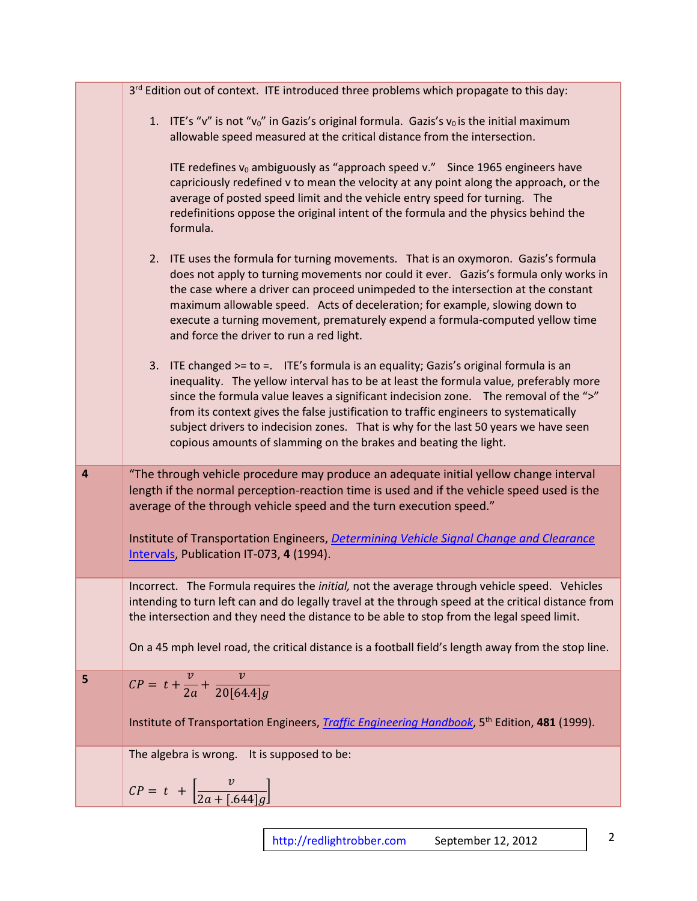|                         | 3rd Edition out of context. ITE introduced three problems which propagate to this day:                                                                                                                                                                                                                                                                                                                                                                                                                                      |
|-------------------------|-----------------------------------------------------------------------------------------------------------------------------------------------------------------------------------------------------------------------------------------------------------------------------------------------------------------------------------------------------------------------------------------------------------------------------------------------------------------------------------------------------------------------------|
|                         | 1. ITE's "v" is not "v <sub>0</sub> " in Gazis's original formula. Gazis's v <sub>0</sub> is the initial maximum<br>allowable speed measured at the critical distance from the intersection.                                                                                                                                                                                                                                                                                                                                |
|                         | ITE redefines v <sub>0</sub> ambiguously as "approach speed v." Since 1965 engineers have<br>capriciously redefined v to mean the velocity at any point along the approach, or the<br>average of posted speed limit and the vehicle entry speed for turning. The<br>redefinitions oppose the original intent of the formula and the physics behind the<br>formula.                                                                                                                                                          |
|                         | 2. ITE uses the formula for turning movements. That is an oxymoron. Gazis's formula<br>does not apply to turning movements nor could it ever. Gazis's formula only works in<br>the case where a driver can proceed unimpeded to the intersection at the constant<br>maximum allowable speed. Acts of deceleration; for example, slowing down to<br>execute a turning movement, prematurely expend a formula-computed yellow time<br>and force the driver to run a red light.                                                |
|                         | ITE changed >= to = ITE's formula is an equality; Gazis's original formula is an<br>3.<br>inequality. The yellow interval has to be at least the formula value, preferably more<br>since the formula value leaves a significant indecision zone. The removal of the ">"<br>from its context gives the false justification to traffic engineers to systematically<br>subject drivers to indecision zones. That is why for the last 50 years we have seen<br>copious amounts of slamming on the brakes and beating the light. |
| $\overline{\mathbf{a}}$ | "The through vehicle procedure may produce an adequate initial yellow change interval<br>length if the normal perception-reaction time is used and if the vehicle speed used is the<br>average of the through vehicle speed and the turn execution speed."                                                                                                                                                                                                                                                                  |
|                         | Institute of Transportation Engineers, Determining Vehicle Signal Change and Clearance<br>Intervals, Publication IT-073, 4 (1994).                                                                                                                                                                                                                                                                                                                                                                                          |
|                         | Incorrect. The Formula requires the <i>initial</i> , not the average through vehicle speed. Vehicles<br>intending to turn left can and do legally travel at the through speed at the critical distance from<br>the intersection and they need the distance to be able to stop from the legal speed limit.                                                                                                                                                                                                                   |
|                         | On a 45 mph level road, the critical distance is a football field's length away from the stop line.                                                                                                                                                                                                                                                                                                                                                                                                                         |
| 5                       | $CP = t + \frac{v}{2a} + \frac{v}{20[64.4]q}$                                                                                                                                                                                                                                                                                                                                                                                                                                                                               |
|                         | Institute of Transportation Engineers, <i>Traffic Engineering Handbook</i> , 5 <sup>th</sup> Edition, 481 (1999).                                                                                                                                                                                                                                                                                                                                                                                                           |
|                         | The algebra is wrong. It is supposed to be:                                                                                                                                                                                                                                                                                                                                                                                                                                                                                 |
|                         | $CP = t + \left[\frac{v}{2a + (.644]g}\right]$                                                                                                                                                                                                                                                                                                                                                                                                                                                                              |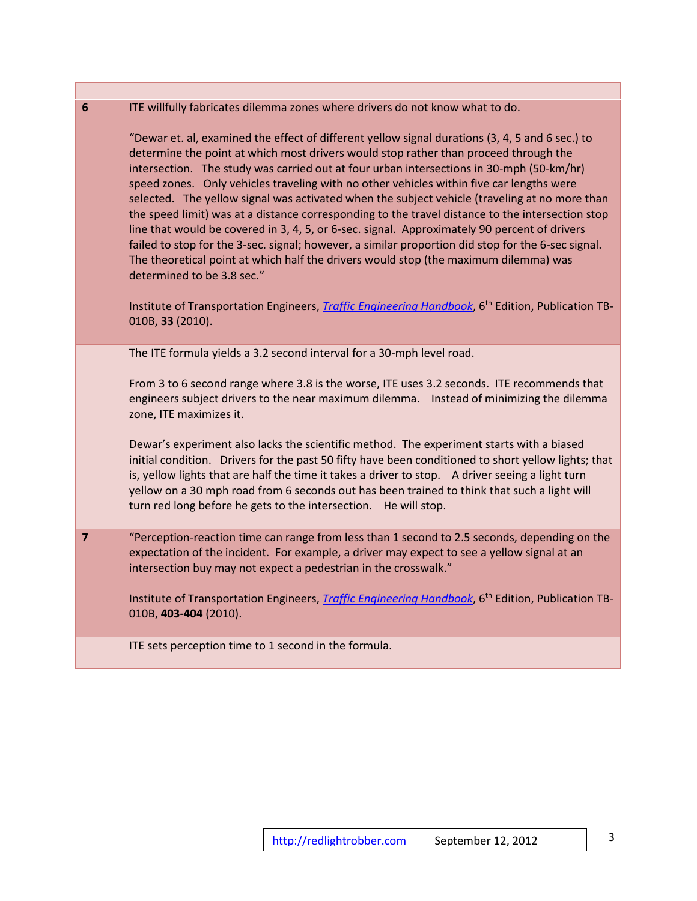| $6\phantom{1}6$ | ITE willfully fabricates dilemma zones where drivers do not know what to do.                                                                                                                                                                                                                                                                                                                                                                                                                                                                                                                                                                                                                                                                                                                                                                                                                                                                                                                                                                                  |
|-----------------|---------------------------------------------------------------------------------------------------------------------------------------------------------------------------------------------------------------------------------------------------------------------------------------------------------------------------------------------------------------------------------------------------------------------------------------------------------------------------------------------------------------------------------------------------------------------------------------------------------------------------------------------------------------------------------------------------------------------------------------------------------------------------------------------------------------------------------------------------------------------------------------------------------------------------------------------------------------------------------------------------------------------------------------------------------------|
|                 | "Dewar et. al, examined the effect of different yellow signal durations (3, 4, 5 and 6 sec.) to<br>determine the point at which most drivers would stop rather than proceed through the<br>intersection. The study was carried out at four urban intersections in 30-mph (50-km/hr)<br>speed zones. Only vehicles traveling with no other vehicles within five car lengths were<br>selected. The yellow signal was activated when the subject vehicle (traveling at no more than<br>the speed limit) was at a distance corresponding to the travel distance to the intersection stop<br>line that would be covered in 3, 4, 5, or 6-sec. signal. Approximately 90 percent of drivers<br>failed to stop for the 3-sec. signal; however, a similar proportion did stop for the 6-sec signal.<br>The theoretical point at which half the drivers would stop (the maximum dilemma) was<br>determined to be 3.8 sec."<br>Institute of Transportation Engineers, <i>Traffic Engineering Handbook</i> , 6 <sup>th</sup> Edition, Publication TB-<br>010B, 33 (2010). |
|                 | The ITE formula yields a 3.2 second interval for a 30-mph level road.                                                                                                                                                                                                                                                                                                                                                                                                                                                                                                                                                                                                                                                                                                                                                                                                                                                                                                                                                                                         |
|                 |                                                                                                                                                                                                                                                                                                                                                                                                                                                                                                                                                                                                                                                                                                                                                                                                                                                                                                                                                                                                                                                               |
|                 | From 3 to 6 second range where 3.8 is the worse, ITE uses 3.2 seconds. ITE recommends that<br>engineers subject drivers to the near maximum dilemma.  Instead of minimizing the dilemma<br>zone, ITE maximizes it.                                                                                                                                                                                                                                                                                                                                                                                                                                                                                                                                                                                                                                                                                                                                                                                                                                            |
|                 | Dewar's experiment also lacks the scientific method. The experiment starts with a biased<br>initial condition. Drivers for the past 50 fifty have been conditioned to short yellow lights; that<br>is, yellow lights that are half the time it takes a driver to stop. A driver seeing a light turn<br>yellow on a 30 mph road from 6 seconds out has been trained to think that such a light will<br>turn red long before he gets to the intersection. He will stop.                                                                                                                                                                                                                                                                                                                                                                                                                                                                                                                                                                                         |
| $\overline{7}$  | "Perception-reaction time can range from less than 1 second to 2.5 seconds, depending on the                                                                                                                                                                                                                                                                                                                                                                                                                                                                                                                                                                                                                                                                                                                                                                                                                                                                                                                                                                  |
|                 | expectation of the incident. For example, a driver may expect to see a yellow signal at an<br>intersection buy may not expect a pedestrian in the crosswalk."                                                                                                                                                                                                                                                                                                                                                                                                                                                                                                                                                                                                                                                                                                                                                                                                                                                                                                 |
|                 | Institute of Transportation Engineers, <i>Traffic Engineering Handbook</i> , 6 <sup>th</sup> Edition, Publication TB-<br>010B, 403-404 (2010).                                                                                                                                                                                                                                                                                                                                                                                                                                                                                                                                                                                                                                                                                                                                                                                                                                                                                                                |
|                 | ITE sets perception time to 1 second in the formula.                                                                                                                                                                                                                                                                                                                                                                                                                                                                                                                                                                                                                                                                                                                                                                                                                                                                                                                                                                                                          |
|                 |                                                                                                                                                                                                                                                                                                                                                                                                                                                                                                                                                                                                                                                                                                                                                                                                                                                                                                                                                                                                                                                               |

**The Contract** 

٦